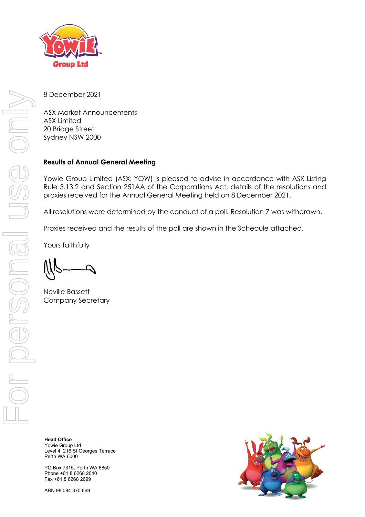

8 December 2021

ASX Market Announcements ASX Limited 20 Bridge Street Sydney NSW 2000

## **Results of Annual General Meeting**

Yowie Group Limited (ASX: YOW) is pleased to advise in accordance with ASX Listing Rule 3.13.2 and Section 251AA of the Corporations Act, details of the resolutions and proxies received for the Annual General Meeting held on 8 December 2021.

All resolutions were determined by the conduct of a poll. Resolution 7 was withdrawn.

Proxies received and the results of the poll are shown in the Schedule attached.

Yours faithfully

Neville Bassett Company Secretary

**Head Office** Yowie Group Ltd Level 4, 216 St Georges Terrace Perth WA 6000

PO Box 7315, Perth WA 6850 Phone +61 8 6268 2640 Fax +61 8 6268 2699

ABN 98 084 370 669